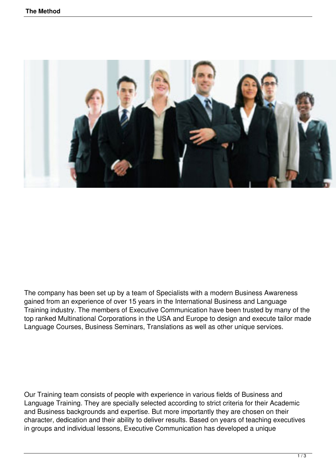

The company has been set up by a team of Specialists with a modern Business Awareness gained from an experience of over 15 years in the International Business and Language Training industry. The members of Executive Communication have been trusted by many of the top ranked Multinational Corporations in the USA and Europe to design and execute tailor made Language Courses, Business Seminars, Translations as well as other unique services.

Our Training team consists of people with experience in various fields of Business and Language Training. They are specially selected according to strict criteria for their Academic and Business backgrounds and expertise. But more importantly they are chosen on their character, dedication and their ability to deliver results. Based on years of teaching executives in groups and individual lessons, Executive Communication has developed a unique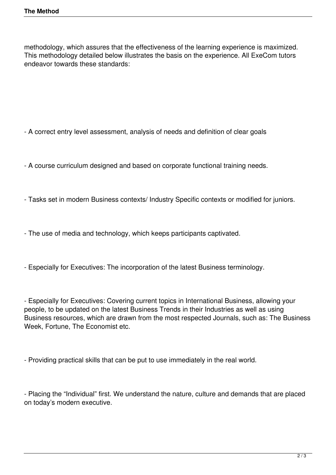methodology, which assures that the effectiveness of the learning experience is maximized. This methodology detailed below illustrates the basis on the experience. All ExeCom tutors endeavor towards these standards:

- A correct entry level assessment, analysis of needs and definition of clear goals

- A course curriculum designed and based on corporate functional training needs.
- Tasks set in modern Business contexts/ Industry Specific contexts or modified for juniors.
- The use of media and technology, which keeps participants captivated.
- Especially for Executives: The incorporation of the latest Business terminology.

- Especially for Executives: Covering current topics in International Business, allowing your people, to be updated on the latest Business Trends in their Industries as well as using Business resources, which are drawn from the most respected Journals, such as: The Business Week, Fortune, The Economist etc.

- Providing practical skills that can be put to use immediately in the real world.

- Placing the "Individual" first. We understand the nature, culture and demands that are placed on today's modern executive.